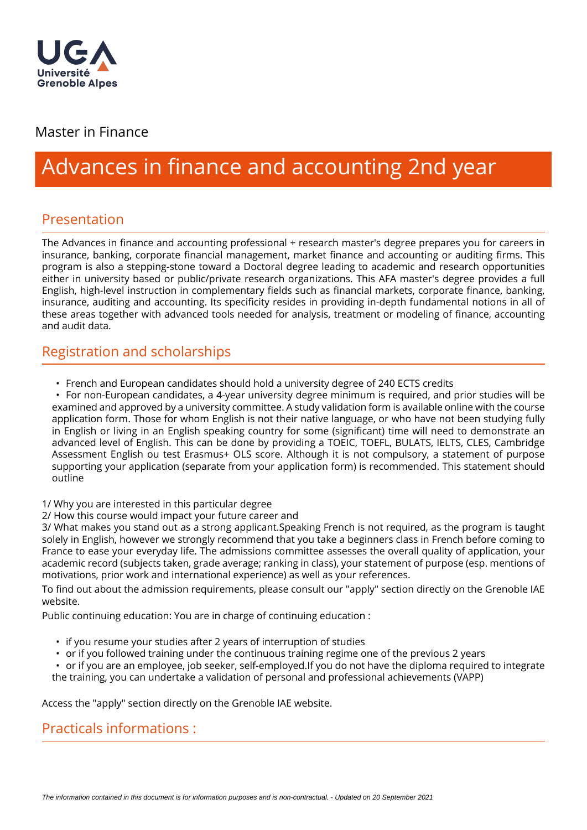

#### Master in Finance

# Advances in finance and accounting 2nd year

## Presentation

The Advances in finance and accounting professional + research master's degree prepares you for careers in insurance, banking, corporate financial management, market finance and accounting or auditing firms. This program is also a stepping-stone toward a Doctoral degree leading to academic and research opportunities either in university based or public/private research organizations. This AFA master's degree provides a full English, high-level instruction in complementary fields such as financial markets, corporate finance, banking, insurance, auditing and accounting. Its specificity resides in providing in-depth fundamental notions in all of these areas together with advanced tools needed for analysis, treatment or modeling of finance, accounting and audit data.

## Registration and scholarships

• French and European candidates should hold a university degree of 240 ECTS credits

• For non-European candidates, a 4-year university degree minimum is required, and prior studies will be examined and approved by a university committee. A study validation form is available online with the course application form. Those for whom English is not their native language, or who have not been studying fully in English or living in an English speaking country for some (significant) time will need to demonstrate an advanced level of English. This can be done by providing a TOEIC, TOEFL, BULATS, IELTS, CLES, Cambridge Assessment English ou test Erasmus+ OLS score. Although it is not compulsory, a statement of purpose supporting your application (separate from your application form) is recommended. This statement should outline

1/ Why you are interested in this particular degree

2/ How this course would impact your future career and

3/ What makes you stand out as a strong applicant.Speaking French is not required, as the program is taught solely in English, however we strongly recommend that you take a beginners class in French before coming to France to ease your everyday life. The admissions committee assesses the overall quality of application, your academic record (subjects taken, grade average; ranking in class), your statement of purpose (esp. mentions of motivations, prior work and international experience) as well as your references.

To find out about the admission requirements, please consult our "apply" section directly on the Grenoble JAE website.

Public continuing education: You are in charge of continuing education :

- if you resume your studies after 2 years of interruption of studies
- or if you followed training under the continuous training regime one of the previous 2 years
- or if you are an employee, job seeker, self-employed.If you do not have the diploma required to integrate the training, you can undertake a validation of personal and professional achievements (VAPP)

Access the "apply" section directly on the Grenoble IAE website.

Practicals informations :